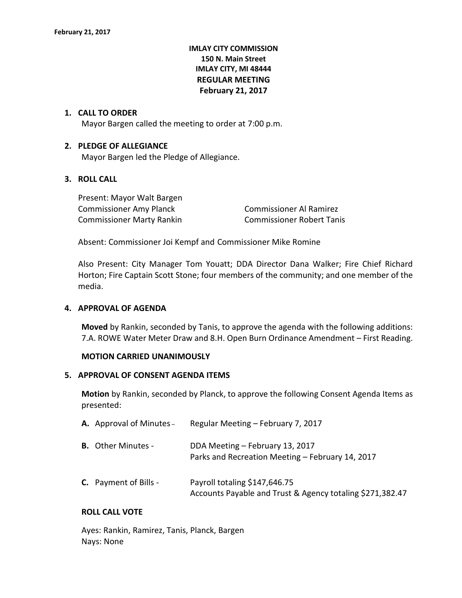# **IMLAY CITY COMMISSION 150 N. Main Street IMLAY CITY, MI 48444 REGULAR MEETING February 21, 2017**

### **1. CALL TO ORDER**

Mayor Bargen called the meeting to order at 7:00 p.m.

#### **2. PLEDGE OF ALLEGIANCE**

Mayor Bargen led the Pledge of Allegiance.

# **3. ROLL CALL**

Present: Mayor Walt Bargen Commissioner Amy Planck Commissioner Al Ramirez Commissioner Marty Rankin Commissioner Robert Tanis

Absent: Commissioner Joi Kempf and Commissioner Mike Romine

Also Present: City Manager Tom Youatt; DDA Director Dana Walker; Fire Chief Richard Horton; Fire Captain Scott Stone; four members of the community; and one member of the media.

#### **4. APPROVAL OF AGENDA**

**Moved** by Rankin, seconded by Tanis, to approve the agenda with the following additions: 7.A. ROWE Water Meter Draw and 8.H. Open Burn Ordinance Amendment – First Reading.

#### **MOTION CARRIED UNANIMOUSLY**

#### **5. APPROVAL OF CONSENT AGENDA ITEMS**

**Motion** by Rankin, seconded by Planck, to approve the following Consent Agenda Items as presented:

| A. Approval of Minutes -     | Regular Meeting - February 7, 2017                                                         |
|------------------------------|--------------------------------------------------------------------------------------------|
| <b>B.</b> Other Minutes -    | DDA Meeting - February 13, 2017<br>Parks and Recreation Meeting - February 14, 2017        |
| <b>C.</b> Payment of Bills - | Payroll totaling \$147,646.75<br>Accounts Payable and Trust & Agency totaling \$271,382.47 |

#### **ROLL CALL VOTE**

Ayes: Rankin, Ramirez, Tanis, Planck, Bargen Nays: None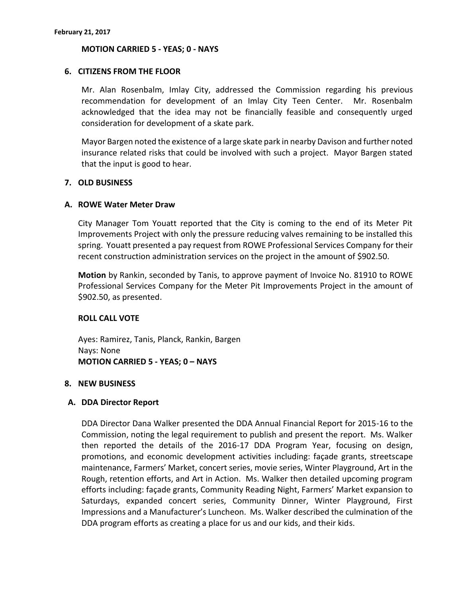#### **MOTION CARRIED 5 - YEAS; 0 - NAYS**

#### **6. CITIZENS FROM THE FLOOR**

Mr. Alan Rosenbalm, Imlay City, addressed the Commission regarding his previous recommendation for development of an Imlay City Teen Center. Mr. Rosenbalm acknowledged that the idea may not be financially feasible and consequently urged consideration for development of a skate park.

Mayor Bargen noted the existence of a large skate park in nearby Davison and further noted insurance related risks that could be involved with such a project. Mayor Bargen stated that the input is good to hear.

# **7. OLD BUSINESS**

### **A. ROWE Water Meter Draw**

City Manager Tom Youatt reported that the City is coming to the end of its Meter Pit Improvements Project with only the pressure reducing valves remaining to be installed this spring. Youatt presented a pay request from ROWE Professional Services Company for their recent construction administration services on the project in the amount of \$902.50.

**Motion** by Rankin, seconded by Tanis, to approve payment of Invoice No. 81910 to ROWE Professional Services Company for the Meter Pit Improvements Project in the amount of \$902.50, as presented.

# **ROLL CALL VOTE**

Ayes: Ramirez, Tanis, Planck, Rankin, Bargen Nays: None **MOTION CARRIED 5 - YEAS; 0 – NAYS**

#### **8. NEW BUSINESS**

#### **A. DDA Director Report**

DDA Director Dana Walker presented the DDA Annual Financial Report for 2015-16 to the Commission, noting the legal requirement to publish and present the report. Ms. Walker then reported the details of the 2016-17 DDA Program Year, focusing on design, promotions, and economic development activities including: façade grants, streetscape maintenance, Farmers' Market, concert series, movie series, Winter Playground, Art in the Rough, retention efforts, and Art in Action. Ms. Walker then detailed upcoming program efforts including: façade grants, Community Reading Night, Farmers' Market expansion to Saturdays, expanded concert series, Community Dinner, Winter Playground, First Impressions and a Manufacturer's Luncheon. Ms. Walker described the culmination of the DDA program efforts as creating a place for us and our kids, and their kids.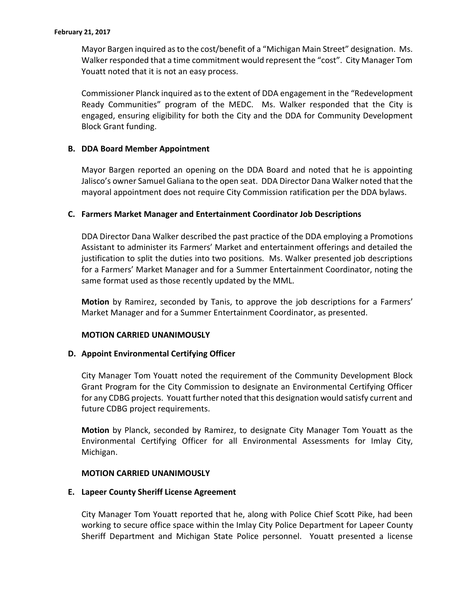Mayor Bargen inquired as to the cost/benefit of a "Michigan Main Street" designation. Ms. Walker responded that a time commitment would represent the "cost". City Manager Tom Youatt noted that it is not an easy process.

Commissioner Planck inquired as to the extent of DDA engagement in the "Redevelopment Ready Communities" program of the MEDC. Ms. Walker responded that the City is engaged, ensuring eligibility for both the City and the DDA for Community Development Block Grant funding.

# **B. DDA Board Member Appointment**

Mayor Bargen reported an opening on the DDA Board and noted that he is appointing Jalisco's owner Samuel Galiana to the open seat. DDA Director Dana Walker noted that the mayoral appointment does not require City Commission ratification per the DDA bylaws.

# **C. Farmers Market Manager and Entertainment Coordinator Job Descriptions**

DDA Director Dana Walker described the past practice of the DDA employing a Promotions Assistant to administer its Farmers' Market and entertainment offerings and detailed the justification to split the duties into two positions. Ms. Walker presented job descriptions for a Farmers' Market Manager and for a Summer Entertainment Coordinator, noting the same format used as those recently updated by the MML.

**Motion** by Ramirez, seconded by Tanis, to approve the job descriptions for a Farmers' Market Manager and for a Summer Entertainment Coordinator, as presented.

# **MOTION CARRIED UNANIMOUSLY**

# **D. Appoint Environmental Certifying Officer**

City Manager Tom Youatt noted the requirement of the Community Development Block Grant Program for the City Commission to designate an Environmental Certifying Officer for any CDBG projects. Youatt further noted that this designation would satisfy current and future CDBG project requirements.

**Motion** by Planck, seconded by Ramirez, to designate City Manager Tom Youatt as the Environmental Certifying Officer for all Environmental Assessments for Imlay City, Michigan.

# **MOTION CARRIED UNANIMOUSLY**

# **E. Lapeer County Sheriff License Agreement**

City Manager Tom Youatt reported that he, along with Police Chief Scott Pike, had been working to secure office space within the Imlay City Police Department for Lapeer County Sheriff Department and Michigan State Police personnel. Youatt presented a license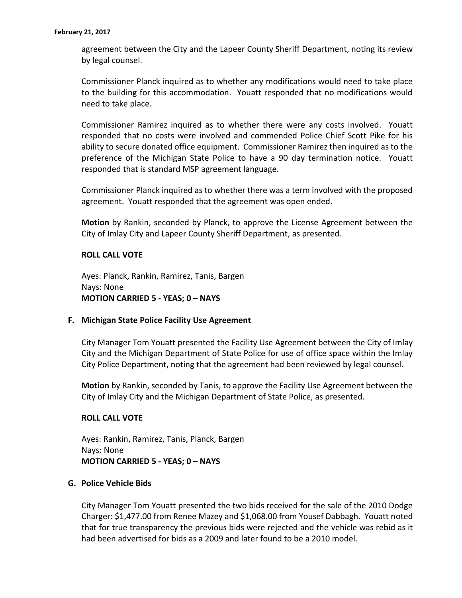agreement between the City and the Lapeer County Sheriff Department, noting its review by legal counsel.

Commissioner Planck inquired as to whether any modifications would need to take place to the building for this accommodation. Youatt responded that no modifications would need to take place.

Commissioner Ramirez inquired as to whether there were any costs involved. Youatt responded that no costs were involved and commended Police Chief Scott Pike for his ability to secure donated office equipment. Commissioner Ramirez then inquired as to the preference of the Michigan State Police to have a 90 day termination notice. Youatt responded that is standard MSP agreement language.

Commissioner Planck inquired as to whether there was a term involved with the proposed agreement. Youatt responded that the agreement was open ended.

**Motion** by Rankin, seconded by Planck, to approve the License Agreement between the City of Imlay City and Lapeer County Sheriff Department, as presented.

# **ROLL CALL VOTE**

Ayes: Planck, Rankin, Ramirez, Tanis, Bargen Nays: None **MOTION CARRIED 5 - YEAS; 0 – NAYS**

# **F. Michigan State Police Facility Use Agreement**

City Manager Tom Youatt presented the Facility Use Agreement between the City of Imlay City and the Michigan Department of State Police for use of office space within the Imlay City Police Department, noting that the agreement had been reviewed by legal counsel.

**Motion** by Rankin, seconded by Tanis, to approve the Facility Use Agreement between the City of Imlay City and the Michigan Department of State Police, as presented.

# **ROLL CALL VOTE**

Ayes: Rankin, Ramirez, Tanis, Planck, Bargen Nays: None **MOTION CARRIED 5 - YEAS; 0 – NAYS**

#### **G. Police Vehicle Bids**

City Manager Tom Youatt presented the two bids received for the sale of the 2010 Dodge Charger: \$1,477.00 from Renee Mazey and \$1,068.00 from Yousef Dabbagh. Youatt noted that for true transparency the previous bids were rejected and the vehicle was rebid as it had been advertised for bids as a 2009 and later found to be a 2010 model.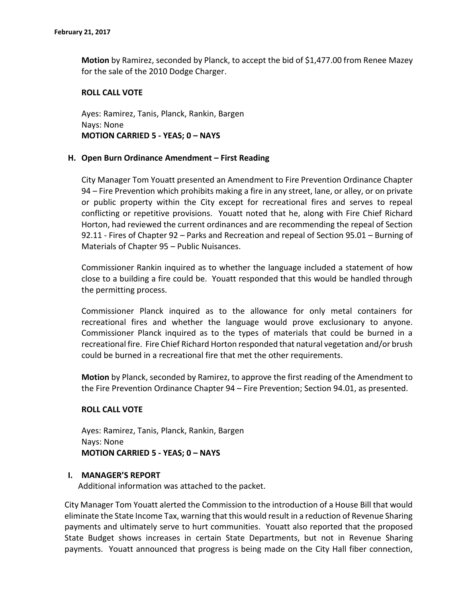**Motion** by Ramirez, seconded by Planck, to accept the bid of \$1,477.00 from Renee Mazey for the sale of the 2010 Dodge Charger.

### **ROLL CALL VOTE**

Ayes: Ramirez, Tanis, Planck, Rankin, Bargen Nays: None **MOTION CARRIED 5 - YEAS; 0 – NAYS**

### **H. Open Burn Ordinance Amendment – First Reading**

City Manager Tom Youatt presented an Amendment to Fire Prevention Ordinance Chapter 94 – Fire Prevention which prohibits making a fire in any street, lane, or alley, or on private or public property within the City except for recreational fires and serves to repeal conflicting or repetitive provisions. Youatt noted that he, along with Fire Chief Richard Horton, had reviewed the current ordinances and are recommending the repeal of Section 92.11 - Fires of Chapter 92 – Parks and Recreation and repeal of Section 95.01 – Burning of Materials of Chapter 95 – Public Nuisances.

Commissioner Rankin inquired as to whether the language included a statement of how close to a building a fire could be. Youatt responded that this would be handled through the permitting process.

Commissioner Planck inquired as to the allowance for only metal containers for recreational fires and whether the language would prove exclusionary to anyone. Commissioner Planck inquired as to the types of materials that could be burned in a recreational fire. Fire Chief Richard Horton responded that natural vegetation and/or brush could be burned in a recreational fire that met the other requirements.

**Motion** by Planck, seconded by Ramirez, to approve the first reading of the Amendment to the Fire Prevention Ordinance Chapter 94 – Fire Prevention; Section 94.01, as presented.

# **ROLL CALL VOTE**

Ayes: Ramirez, Tanis, Planck, Rankin, Bargen Nays: None **MOTION CARRIED 5 - YEAS; 0 – NAYS**

#### **I. MANAGER'S REPORT**

Additional information was attached to the packet.

City Manager Tom Youatt alerted the Commission to the introduction of a House Bill that would eliminate the State Income Tax, warning that this would result in a reduction of Revenue Sharing payments and ultimately serve to hurt communities. Youatt also reported that the proposed State Budget shows increases in certain State Departments, but not in Revenue Sharing payments. Youatt announced that progress is being made on the City Hall fiber connection,